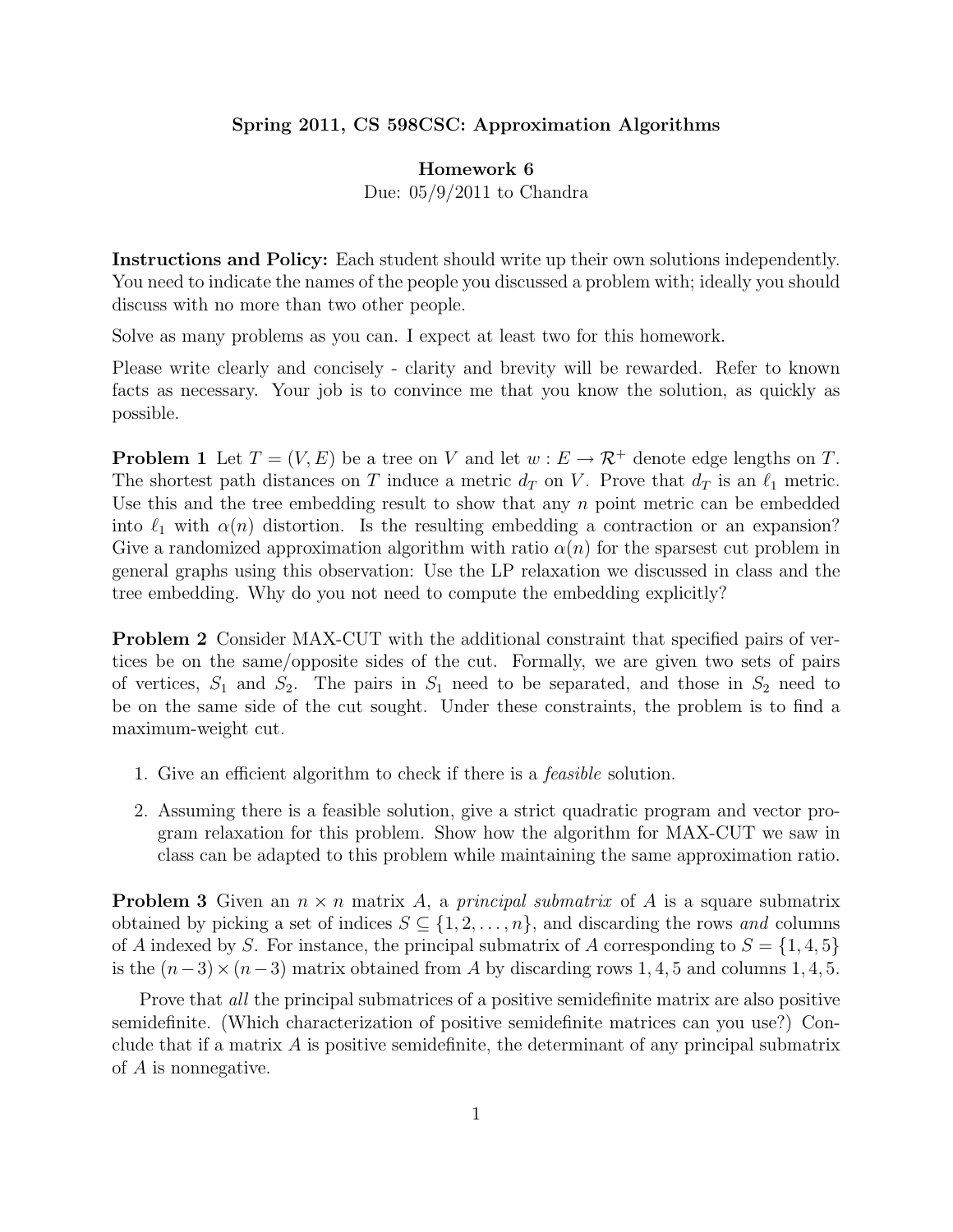## Spring 2011, CS 598CSC: Approximation Algorithms

## Homework 6

Due: 05/9/2011 to Chandra

Instructions and Policy: Each student should write up their own solutions independently. You need to indicate the names of the people you discussed a problem with; ideally you should discuss with no more than two other people.

Solve as many problems as you can. I expect at least two for this homework.

Please write clearly and concisely - clarity and brevity will be rewarded. Refer to known facts as necessary. Your job is to convince me that you know the solution, as quickly as possible.

**Problem 1** Let  $T = (V, E)$  be a tree on V and let  $w : E \to \mathcal{R}^+$  denote edge lengths on T. The shortest path distances on T induce a metric  $d_T$  on V. Prove that  $d_T$  is an  $\ell_1$  metric. Use this and the tree embedding result to show that any n point metric can be embedded into  $\ell_1$  with  $\alpha(n)$  distortion. Is the resulting embedding a contraction or an expansion? Give a randomized approximation algorithm with ratio  $\alpha(n)$  for the sparsest cut problem in general graphs using this observation: Use the LP relaxation we discussed in class and the tree embedding. Why do you not need to compute the embedding explicitly?

Problem 2 Consider MAX-CUT with the additional constraint that specified pairs of vertices be on the same/opposite sides of the cut. Formally, we are given two sets of pairs of vertices,  $S_1$  and  $S_2$ . The pairs in  $S_1$  need to be separated, and those in  $S_2$  need to be on the same side of the cut sought. Under these constraints, the problem is to find a maximum-weight cut.

- 1. Give an efficient algorithm to check if there is a feasible solution.
- 2. Assuming there is a feasible solution, give a strict quadratic program and vector program relaxation for this problem. Show how the algorithm for MAX-CUT we saw in class can be adapted to this problem while maintaining the same approximation ratio.

**Problem 3** Given an  $n \times n$  matrix A, a principal submatrix of A is a square submatrix obtained by picking a set of indices  $S \subseteq \{1, 2, ..., n\}$ , and discarding the rows and columns of A indexed by S. For instance, the principal submatrix of A corresponding to  $S = \{1, 4, 5\}$ is the  $(n-3) \times (n-3)$  matrix obtained from A by discarding rows 1, 4, 5 and columns 1, 4, 5.

Prove that *all* the principal submatrices of a positive semidefinite matrix are also positive semidefinite. (Which characterization of positive semidefinite matrices can you use?) Conclude that if a matrix  $\vec{A}$  is positive semidefinite, the determinant of any principal submatrix of A is nonnegative.